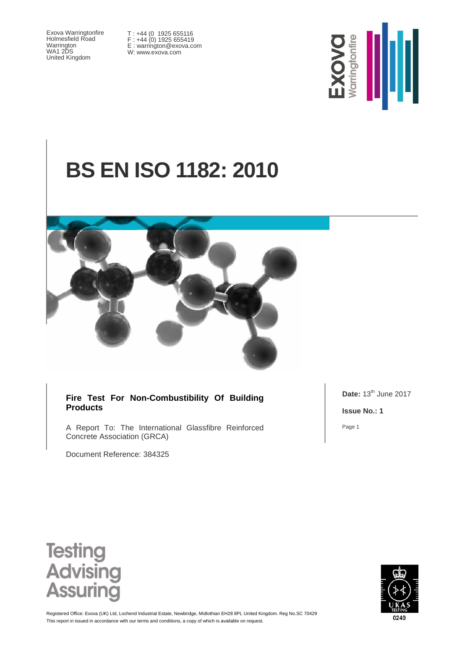Exova Warringtonfire Holmesfield Road Warrington WA1 2DS United Kingdom

T : +44 (0 1925 655116 F : +44 (0) 1925 655419 E : warrington@exova.com W: www.exova.com



# **BS EN ISO 1182: 2010**



#### **Fire Test For Non-Combustibility Of Building Products**

A Report To: The International Glassfibre Reinforced Concrete Association (GRCA)

Document Reference: 384325

**Date:** 13<sup>th</sup> June 2017

**Issue No.: 1**

Page 1





This report in issued in accordance with our terms and conditions, a copy of which is available on request. Registered Office: Exova (UK) Ltd, Lochend Industrial Estate, Newbridge, Midlothian EH28 8PL United Kingdom. Reg No.SC 70429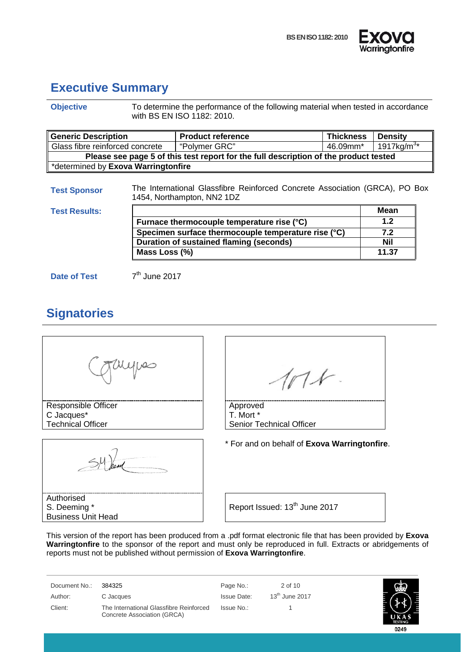



### <span id="page-1-0"></span>**Executive Summary**

| <b>Objective</b>                            |                 | To determine the performance of the following material when tested in accordance<br>with BS EN ISO 1182: 2010. |                  |                        |  |
|---------------------------------------------|-----------------|----------------------------------------------------------------------------------------------------------------|------------------|------------------------|--|
| <b>Generic Description</b>                  |                 | <b>Product reference</b>                                                                                       | <b>Thickness</b> | <b>Density</b>         |  |
| Glass fibre reinforced concrete             |                 | "Polymer GRC"                                                                                                  | 46.09mm*         | 1917kg/m <sup>3*</sup> |  |
|                                             |                 | Please see page 5 of this test report for the full description of the product tested                           |                  |                        |  |
| *determined by Exova Warringtonfire         |                 |                                                                                                                |                  |                        |  |
| <b>Test Sponsor</b><br><b>Test Results:</b> |                 | The International Glassfibre Reinforced Concrete Association (GRCA), PO Box<br>1454, Northampton, NN2 1DZ      |                  | <b>Mean</b>            |  |
|                                             |                 | Furnace thermocouple temperature rise (°C)                                                                     |                  | 1.2 <sub>2</sub>       |  |
|                                             |                 | Specimen surface thermocouple temperature rise (°C)                                                            |                  | 7.2                    |  |
|                                             |                 | Duration of sustained flaming (seconds)                                                                        |                  | Nil                    |  |
|                                             | Mass Loss (%)   |                                                                                                                |                  | 11.37                  |  |
| Date of Test                                | $7th$ June 2017 |                                                                                                                |                  |                        |  |

### <span id="page-1-1"></span>**Signatories**

| Responsible Officer      | Approved                                     |
|--------------------------|----------------------------------------------|
| C Jacques*               | T. Mort *                                    |
| <b>Technical Officer</b> | <b>Senior Technical Officer</b>              |
|                          | * For and on behalf of Exova Warringtonfire. |
| Authorised               |                                              |

This version of the report has been produced from a .pdf format electronic file that has been provided by **Exova Warringtonfire** to the sponsor of the report and must only be reproduced in full. Extracts or abridgements of reports must not be published without permission of **Exova Warringtonfire**.

Document No.: 384325 Page No.: 2 of 10 Author: C Jacques C C Accuse C 13<sup>th</sup> June 2017 Client: The International Glassfibre Reinforced Concrete Association (GRCA)

Issue No.: 1

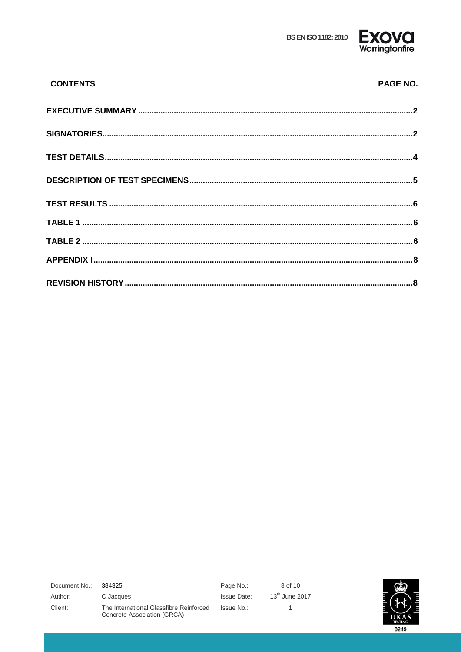

| <b>CONTENTS</b> | <b>PAGE NO.</b> |
|-----------------|-----------------|
|                 |                 |
|                 |                 |
|                 |                 |
|                 |                 |
|                 |                 |
|                 |                 |
|                 |                 |
|                 |                 |
|                 |                 |

| Document No.: | 384325                                                                 | Page No.:   | 3 of 10          |                |
|---------------|------------------------------------------------------------------------|-------------|------------------|----------------|
| Author:       | C Jacques                                                              | Issue Date: | $13th$ June 2017 |                |
| Client:       | The International Glassfibre Reinforced<br>Concrete Association (GRCA) | Issue No.:  |                  | <b>TESTING</b> |
|               |                                                                        |             |                  | 0249           |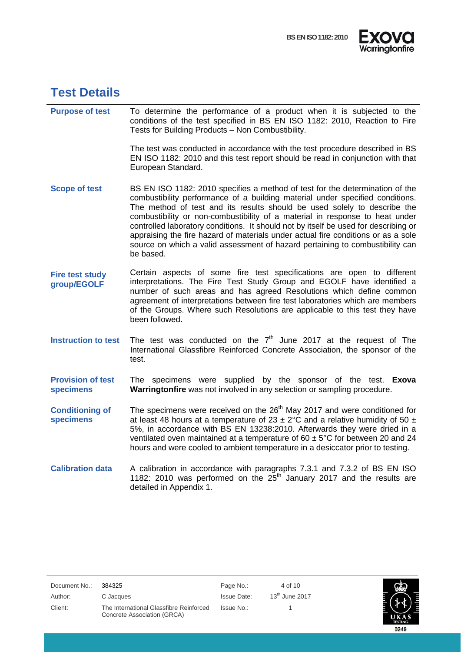



### <span id="page-3-0"></span>**Test Details**

| <b>Purpose of test</b> | To determine the performance of a product when it is subjected to the<br>conditions of the test specified in BS EN ISO 1182: 2010, Reaction to Fire<br>Tests for Building Products - Non Combustibility.                                                                                                                                                                                                                                                                                                                                                                                            |
|------------------------|-----------------------------------------------------------------------------------------------------------------------------------------------------------------------------------------------------------------------------------------------------------------------------------------------------------------------------------------------------------------------------------------------------------------------------------------------------------------------------------------------------------------------------------------------------------------------------------------------------|
|                        | The test was conducted in accordance with the test procedure described in BS<br>EN ISO 1182: 2010 and this test report should be read in conjunction with that<br>European Standard.                                                                                                                                                                                                                                                                                                                                                                                                                |
| <b>Scope of test</b>   | BS EN ISO 1182: 2010 specifies a method of test for the determination of the<br>combustibility performance of a building material under specified conditions.<br>The method of test and its results should be used solely to describe the<br>combustibility or non-combustibility of a material in response to heat under<br>controlled laboratory conditions. It should not by itself be used for describing or<br>appraising the fire hazard of materials under actual fire conditions or as a sole<br>source on which a valid assessment of hazard pertaining to combustibility can<br>be based. |
| <b>Fire test study</b> | Certain aspects of some fire test specifications are open to different                                                                                                                                                                                                                                                                                                                                                                                                                                                                                                                              |

- **Fire test study group/EGOLF** interpretations. The Fire Test Study Group and EGOLF have identified a number of such areas and has agreed Resolutions which define common agreement of interpretations between fire test laboratories which are members of the Groups. Where such Resolutions are applicable to this test they have been followed.
- **Instruction to test** The test was conducted on the 7<sup>th</sup> June 2017 at the request of The International Glassfibre Reinforced Concrete Association, the sponsor of the test.
- **Provision of test specimens** The specimens were supplied by the sponsor of the test. **Exova Warringtonfire** was not involved in any selection or sampling procedure.
- **Conditioning of specimens** The specimens were received on the  $26<sup>th</sup>$  May 2017 and were conditioned for at least 48 hours at a temperature of 23  $\pm$  2°C and a relative humidity of 50  $\pm$ 5%, in accordance with BS EN 13238:2010. Afterwards they were dried in a ventilated oven maintained at a temperature of  $60 \pm 5^{\circ}$ C for between 20 and 24 hours and were cooled to ambient temperature in a desiccator prior to testing.
- **Calibration data** A calibration in accordance with paragraphs 7.3.1 and 7.3.2 of BS EN ISO 1182: 2010 was performed on the  $25<sup>th</sup>$  January 2017 and the results are detailed in Appendix 1.

| Document No.: | 384325                                                                 | Page No.:          | 4 of 10          |                       |
|---------------|------------------------------------------------------------------------|--------------------|------------------|-----------------------|
| Author:       | C Jacques                                                              | <b>Issue Date:</b> | $13th$ June 2017 |                       |
| Client:       | The International Glassfibre Reinforced<br>Concrete Association (GRCA) | Issue No.:         |                  | UKA<br><b>TESTING</b> |
|               |                                                                        |                    |                  | 0249                  |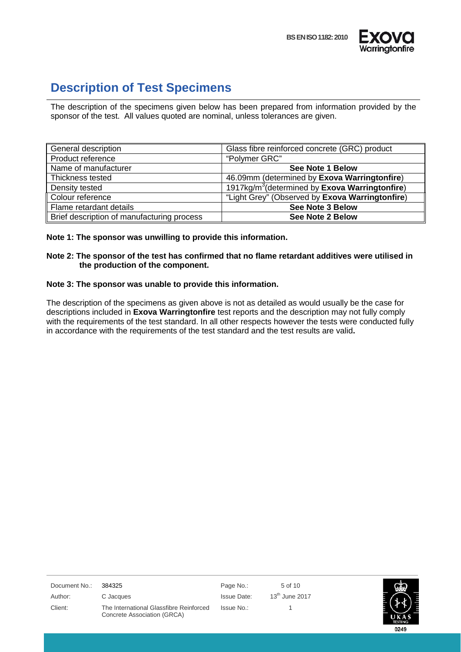



### <span id="page-4-0"></span>**Description of Test Specimens**

The description of the specimens given below has been prepared from information provided by the sponsor of the test. All values quoted are nominal, unless tolerances are given.

| General description                        | Glass fibre reinforced concrete (GRC) product             |
|--------------------------------------------|-----------------------------------------------------------|
| Product reference                          | "Polymer GRC"                                             |
| Name of manufacturer                       | <b>See Note 1 Below</b>                                   |
| Thickness tested                           | 46.09mm (determined by Exova Warringtonfire)              |
| Density tested                             | 1917 $kg/m3$ (determined by <b>Exova Warringtonfire</b> ) |
| Colour reference                           | "Light Grey" (Observed by Exova Warringtonfire)           |
| Flame retardant details                    | <b>See Note 3 Below</b>                                   |
| Brief description of manufacturing process | <b>See Note 2 Below</b>                                   |

**Note 1: The sponsor was unwilling to provide this information.**

#### **Note 2: The sponsor of the test has confirmed that no flame retardant additives were utilised in the production of the component.**

#### **Note 3: The sponsor was unable to provide this information.**

The description of the specimens as given above is not as detailed as would usually be the case for descriptions included in **Exova Warringtonfire** test reports and the description may not fully comply with the requirements of the test standard. In all other respects however the tests were conducted fully in accordance with the requirements of the test standard and the test results are valid**.**

| Document No.: | 384325                                                                 | Page No.:          | 5 of 10          |                        |
|---------------|------------------------------------------------------------------------|--------------------|------------------|------------------------|
| Author:       | C Jacques                                                              | <b>Issue Date:</b> | $13th$ June 2017 |                        |
| Client:       | The International Glassfibre Reinforced<br>Concrete Association (GRCA) | Issue No.:         |                  | UKAS<br><b>TESTING</b> |
|               |                                                                        |                    |                  | 0249                   |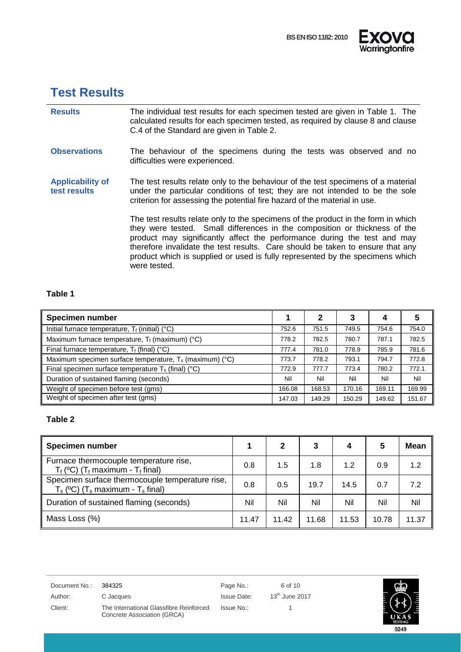



0249

### <span id="page-5-0"></span>**Test Results**

| <b>Results</b>                          | The individual test results for each specimen tested are given in Table 1. The<br>calculated results for each specimen tested, as required by clause 8 and clause<br>C.4 of the Standard are given in Table 2.                                                                                                                                                                                                                 |
|-----------------------------------------|--------------------------------------------------------------------------------------------------------------------------------------------------------------------------------------------------------------------------------------------------------------------------------------------------------------------------------------------------------------------------------------------------------------------------------|
| <b>Observations</b>                     | The behaviour of the specimens during the tests was observed and no<br>difficulties were experienced.                                                                                                                                                                                                                                                                                                                          |
| <b>Applicability of</b><br>test results | The test results relate only to the behaviour of the test specimens of a material<br>under the particular conditions of test; they are not intended to be the sole<br>criterion for assessing the potential fire hazard of the material in use.                                                                                                                                                                                |
|                                         | The test results relate only to the specimens of the product in the form in which<br>they were tested. Small differences in the composition or thickness of the<br>product may significantly affect the performance during the test and may<br>therefore invalidate the test results. Care should be taken to ensure that any<br>product which is supplied or used is fully represented by the specimens which<br>were tested. |

#### <span id="page-5-1"></span>**Table 1**

| <b>Specimen number</b>                                              |        | າ      | 3      | 4      |        |
|---------------------------------------------------------------------|--------|--------|--------|--------|--------|
| Initial furnace temperature, $T_f$ (initial) (°C)                   | 752.6  | 751.5  | 749.5  | 754.6  | 754.0  |
| Maximum furnace temperature, $T_f$ (maximum) (°C)                   | 778.2  | 782.5  | 780.7  | 787.1  | 782.5  |
| Final furnace temperature, $T_f$ (final) (°C)                       | 777.4  | 781.0  | 778.9  | 785.9  | 781.6  |
| Maximum specimen surface temperature, T <sub>s</sub> (maximum) (°C) | 773.7  | 778.2  | 793.1  | 794.7  | 772.8  |
| Final specimen surface temperature $T_s$ (final) (°C)               | 772.9  | 777.7  | 773.4  | 780.2  | 772.1  |
| Duration of sustained flaming (seconds)                             | Nil    | Nil    | Nil    | Nil    | Nil    |
| Weight of specimen before test (gms)                                | 166.08 | 168.53 | 170.16 | 169.11 | 169.99 |
| Weight of specimen after test (gms)                                 | 147.03 | 149.29 | 150.29 | 149.62 | 151.67 |

### <span id="page-5-2"></span>**Table 2**

| <b>Specimen number</b>                                                                       |       | 2     | 3     | 4     |       | <b>Mean</b> |
|----------------------------------------------------------------------------------------------|-------|-------|-------|-------|-------|-------------|
| Furnace thermocouple temperature rise,<br>$T_f$ (°C) ( $T_f$ maximum - $T_f$ final)          | 0.8   | 1.5   | 1.8   | 1.2   | 0.9   | 1.2         |
| Specimen surface thermocouple temperature rise,<br>$T_s$ (°C) ( $T_s$ maximum - $T_s$ final) | 0.8   | 0.5   | 19.7  | 14.5  | 0.7   | 7.2         |
| Duration of sustained flaming (seconds)                                                      | Nil   | Nil   | Nil   | Nil   | Nil   | Nil         |
| Mass Loss (%)                                                                                | 11.47 | 11.42 | 11.68 | 11.53 | 10.78 | 11.37       |

| Document No.: | 384325                                                                 | Page No.:   | 6 of 10          |
|---------------|------------------------------------------------------------------------|-------------|------------------|
| Author:       | C Jacques                                                              | Issue Date: | $13th$ June 2017 |
| Client:       | The International Glassfibre Reinforced<br>Concrete Association (GRCA) | Issue No.:  |                  |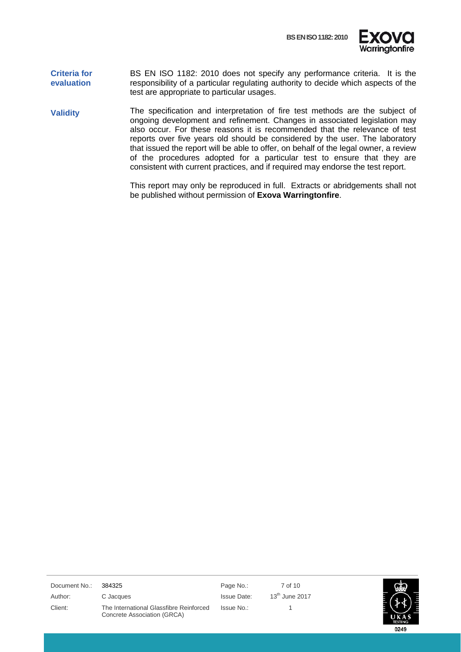

#### **Criteria for evaluation** BS EN ISO 1182: 2010 does not specify any performance criteria. It is the responsibility of a particular regulating authority to decide which aspects of the test are appropriate to particular usages.

**Validity** The specification and interpretation of fire test methods are the subject of ongoing development and refinement. Changes in associated legislation may also occur. For these reasons it is recommended that the relevance of test reports over five years old should be considered by the user. The laboratory that issued the report will be able to offer, on behalf of the legal owner, a review of the procedures adopted for a particular test to ensure that they are consistent with current practices, and if required may endorse the test report.

> This report may only be reproduced in full. Extracts or abridgements shall not be published without permission of **Exova Warringtonfire**.

| Document No.: | 384325                                                                 | Page No.:          | 7 of 10          |                        |
|---------------|------------------------------------------------------------------------|--------------------|------------------|------------------------|
| Author:       | C Jacques                                                              | <b>Issue Date:</b> | $13th$ June 2017 |                        |
| Client:       | The International Glassfibre Reinforced<br>Concrete Association (GRCA) | Issue No.:         |                  | UKAS<br><b>TESTING</b> |
|               |                                                                        |                    |                  | 0249                   |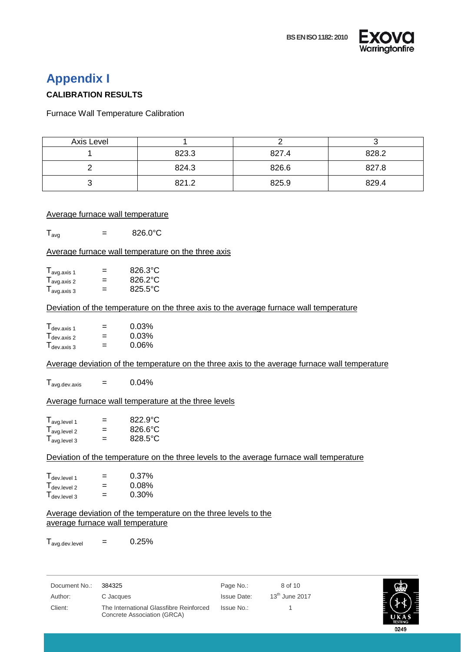

### <span id="page-7-0"></span>**Appendix I**

#### **CALIBRATION RESULTS**

<span id="page-7-1"></span>Furnace Wall Temperature Calibration

| Axis Level |       |       |       |
|------------|-------|-------|-------|
|            | 823.3 | 827.4 | 828.2 |
|            | 824.3 | 826.6 | 827.8 |
|            | 821.2 | 825.9 | 829.4 |

#### Average furnace wall temperature

 $T_{\text{avg}}$  = 826.0°C

#### Average furnace wall temperature on the three axis

| $I_{avg. axis 1}$                            | = | 826.3°C |
|----------------------------------------------|---|---------|
| $\mathsf{I}_{\text{avg. axis 2}}$            | = | 826.2°C |
| $\mathsf{T}_{\mathsf{avg}.\mathsf{axis}\,3}$ | = | 825.5°C |

#### Deviation of the temperature on the three axis to the average furnace wall temperature

| $\mathsf{T}_{\mathsf{dev}.\mathsf{axis}\ 1}$ | = | 0.03% |
|----------------------------------------------|---|-------|
| $T_{\text{dev. axis 2}}$                     | = | 0.03% |
| T <sub>dev. axis 3</sub>                     | = | 0.06% |

#### Average deviation of the temperature on the three axis to the average furnace wall temperature

 $T_{\text{avg.dev.axis}}$  = 0.04%

#### Average furnace wall temperature at the three levels

| $\mathsf{T}_{\mathsf{avg}.\mathsf{level} \ 1}$ | = | 822.9°C |
|------------------------------------------------|---|---------|
| $T_{avg. level 2}$                             | = | 826.6°C |
| $T_{avg. level 3}$                             | = | 828.5°C |

#### Deviation of the temperature on the three levels to the average furnace wall temperature

| $\mathsf{T}_{\mathsf{dev}.\mathsf{level} \ 1}$ | = | 0.37%    |
|------------------------------------------------|---|----------|
| $\mathsf{T}_{\mathsf{dev}.\mathsf{level}\ 2}$  | = | 0.08%    |
| $\mathsf{T}_{\mathsf{dev}.\mathsf{level}\ 3}$  | = | $0.30\%$ |

#### Average deviation of the temperature on the three levels to the average furnace wall temperature

 $T_{\text{avg.dev.level}}$  = 0.25%

| Document No.: 384325 | Page No.: | 8 of 10 |
|----------------------|-----------|---------|

Author: C Jacques C C C CONSERVIATE: C Jacques C C Jacques Issue Date: 13<sup>th</sup> June 2017 Client: The International Glassfibre Reinforced Concrete Association (GRCA)

Issue No.: 1

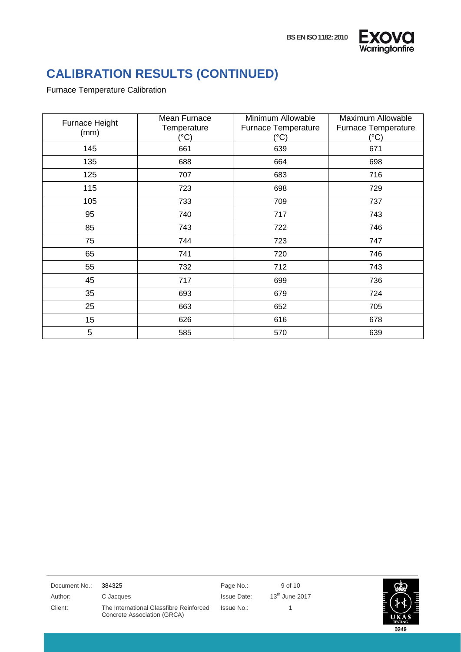



## **CALIBRATION RESULTS (CONTINUED)**

#### Furnace Temperature Calibration

J.

| Furnace Height<br>(mm) | Mean Furnace<br>Temperature<br>(°C) | Minimum Allowable<br><b>Furnace Temperature</b><br>(°C) | Maximum Allowable<br>Furnace Temperature<br>(°C) |
|------------------------|-------------------------------------|---------------------------------------------------------|--------------------------------------------------|
| 145                    | 661                                 | 639                                                     | 671                                              |
| 135                    | 688                                 | 664                                                     | 698                                              |
| 125                    | 707                                 | 683                                                     | 716                                              |
| 115                    | 723                                 | 698                                                     | 729                                              |
| 105                    | 733                                 | 709                                                     | 737                                              |
| 95                     | 740                                 | 717                                                     | 743                                              |
| 85                     | 743                                 | 722                                                     | 746                                              |
| 75                     | 744                                 | 723                                                     | 747                                              |
| 65                     | 741                                 | 720                                                     | 746                                              |
| 55                     | 732                                 | 712                                                     | 743                                              |
| 45                     | 717                                 | 699                                                     | 736                                              |
| 35                     | 693                                 | 679                                                     | 724                                              |
| 25                     | 663                                 | 652                                                     | 705                                              |
| 15                     | 626                                 | 616                                                     | 678                                              |
| 5                      | 585                                 | 570                                                     | 639                                              |

| Document No.: | 384325                                                                 | Page No.:   | 9 of 10          |                |
|---------------|------------------------------------------------------------------------|-------------|------------------|----------------|
| Author:       | C Jacques                                                              | Issue Date: | $13th$ June 2017 |                |
| Client:       | The International Glassfibre Reinforced<br>Concrete Association (GRCA) | Issue No.:  |                  | <b>TESTING</b> |
|               |                                                                        |             |                  | 0249           |